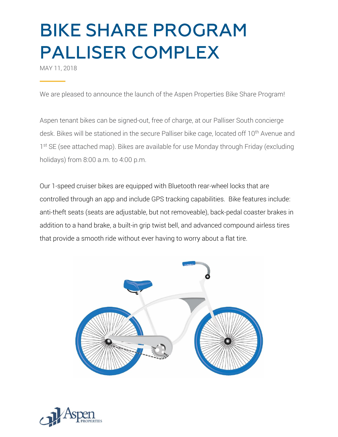MAY 11, 2018

We are pleased to announce the launch of the Aspen Properties Bike Share Program!

Aspen tenant bikes can be signed-out, free of charge, at our Palliser South concierge desk. Bikes will be stationed in the secure Palliser bike cage, located off 10<sup>th</sup> Avenue and 1<sup>st</sup> SE (see attached map). Bikes are available for use Monday through Friday (excluding holidays) from 8:00 a.m. to 4:00 p.m.

Our 1-speed cruiser bikes are equipped with Bluetooth rear-wheel locks that are controlled through an app and include GPS tracking capabilities. Bike features include: anti-theft seats (seats are adjustable, but not removeable), back-pedal coaster brakes in addition to a hand brake, a built-in grip twist bell, and advanced compound airless tires that provide a smooth ride without ever having to worry about a flat tire.



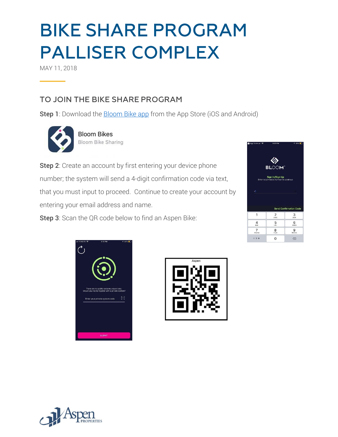MAY 11, 2018

### TO JOIN THE BIKE SHARE PROGRAM

Step 1: Download the **Bloom Bike app** from the App Store (iOS and Android)



**Bloom Bikes Bloom Bike Sharing** 

Step 2: Create an account by first entering your device phone number; the system will send a 4-digit confirmation code via text, that you must input to proceed. Continue to create your account by entering your email address and name.

Step 3: Scan the QR code below to find an Aspen Bike:







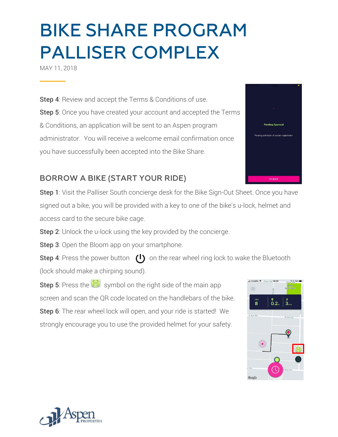MAY 11, 2018

**Step 4:** Review and accept the Terms & Conditions of use. Step 5: Once you have created your account and accepted the Terms & Conditions, an application will be sent to an Aspen program administrator. You will receive a welcome email confirmation once you have successfully been accepted into the Bike Share.

### **BORROW A BIKE (START YOUR RIDE)**

**Step 1**: Visit the Palliser South concierge desk for the Bike Sign-Out Sheet. Once you have signed out a bike, you will be provided with a key to one of the bike's u-lock, helmet and access card to the secure bike cage.

**Step 2:** Unlock the u-lock using the key provided by the concierge.

**Step 3**: Open the Bloom app on your smartphone.

**Step 4**: Press the power button  $\left(\begin{matrix}1\end{matrix}\right)$  on the rear wheel ring lock to wake the Bluetooth (lock should make a chirping sound).

**Step 5**: Press the  $\bigoplus$  symbol on the right side of the main app screen and scan the QR code located on the handlebars of the bike. Step 6: The rear wheel lock will open, and your ride is started! We strongly encourage you to use the provided helmet for your safety.





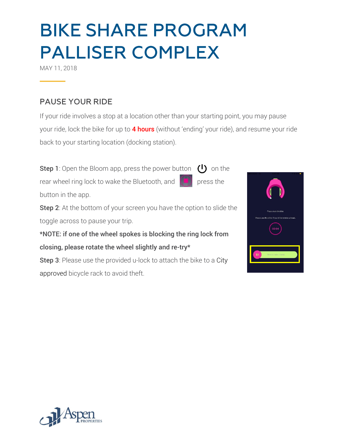MAY 11, 2018

#### **PAUSE YOUR RIDE**

If your ride involves a stop at a location other than your starting point, you may pause your ride, lock the bike for up to 4 hours (without 'ending' your ride), and resume your ride back to your starting location (docking station).

**Step 1**: Open the Bloom app, press the power button  $\begin{pmatrix} 1 \\ 2 \end{pmatrix}$  on the rear wheel ring lock to wake the Bluetooth, and  $\left[\begin{array}{c} \blacksquare \end{array}\right]$  press the button in the app.

**Step 2**: At the bottom of your screen you have the option to slide the toggle across to pause your trip.

\*NOTE: if one of the wheel spokes is blocking the ring lock from closing, please rotate the wheel slightly and re-try\*

Step 3: Please use the provided u-lock to attach the bike to a City approved bicycle rack to avoid theft.